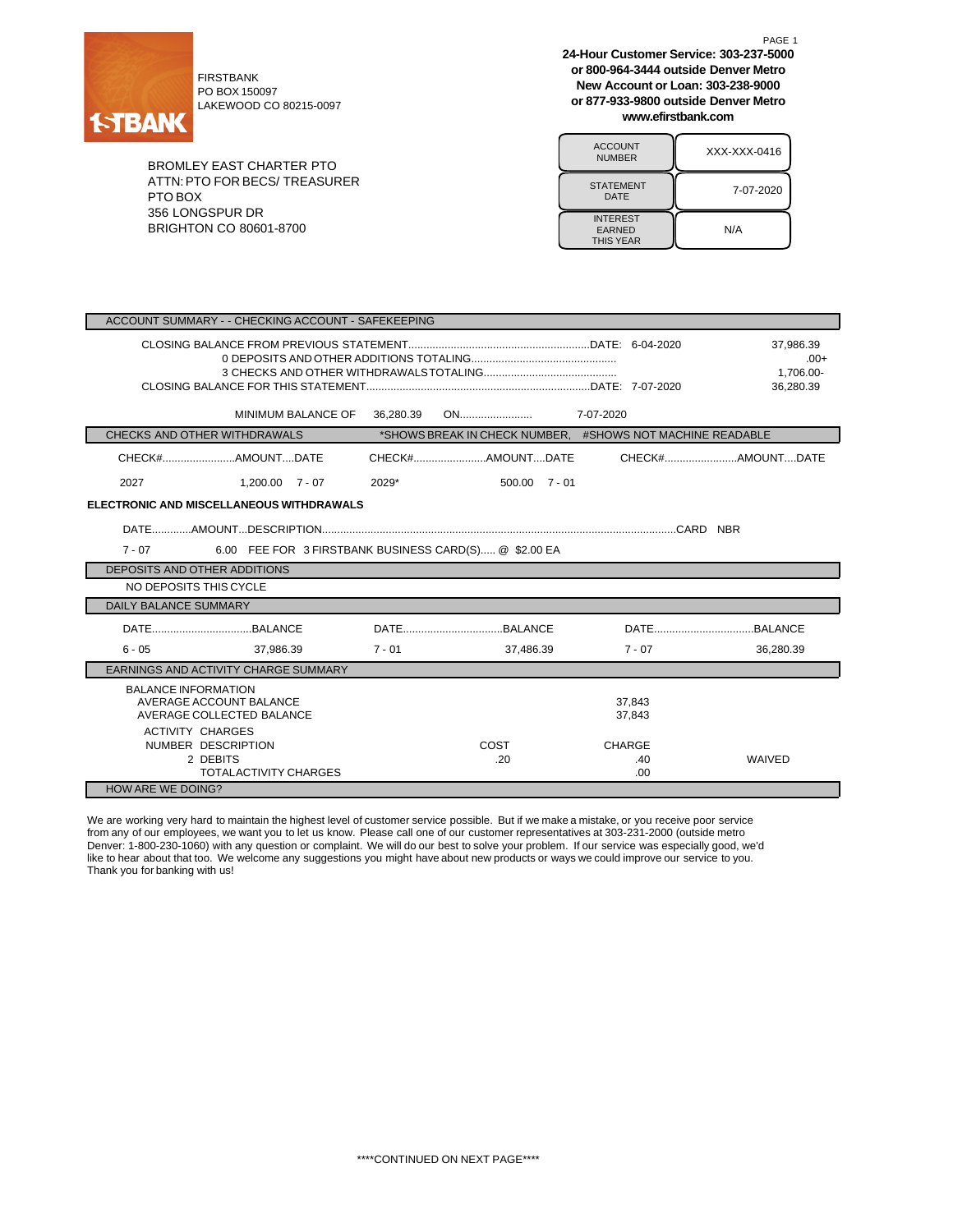

FIRSTBANK PO BOX 150097 LAKEWOOD CO 80215-0097

BROMLEY EAST CHARTER PTO ATTN:PTO FOR BECS/ TREASURER PTO BOX 356 LONGSPUR DR BRIGHTON CO 80601-8700

**24-Hour Customer Service: 303-237-5000 or 800-964-3444 outside Denver Metro New Account or Loan: 303-238-9000 or 877-933-9800 outside Denver Metro www.efirstbank.com**

PAGE 1

| <b>ACCOUNT</b><br><b>NUMBER</b>                      | XXX-XXX-0416 |
|------------------------------------------------------|--------------|
| <b>STATEMENT</b><br>DATE                             | 7-07-2020    |
| <b>INTEREST</b><br><b>EARNED</b><br><b>THIS YEAR</b> | N/A          |

| ACCOUNT SUMMARY - - CHECKING ACCOUNT - SAFEKEEPING                |                                                      |           |                                                           |                      |                                               |  |  |
|-------------------------------------------------------------------|------------------------------------------------------|-----------|-----------------------------------------------------------|----------------------|-----------------------------------------------|--|--|
|                                                                   |                                                      |           |                                                           |                      | 37.986.39<br>$.00+$<br>1.706.00-<br>36.280.39 |  |  |
|                                                                   | MINIMUM BALANCE OF                                   | 36,280.39 |                                                           |                      |                                               |  |  |
| CHECKS AND OTHER WITHDRAWALS                                      |                                                      |           | *SHOWS BREAK IN CHECK NUMBER. #SHOWS NOT MACHINE READABLE |                      |                                               |  |  |
|                                                                   |                                                      |           |                                                           |                      | CHECK#AMOUNTDATE                              |  |  |
| 2027                                                              | $1.200.00 \quad 7 - 07$                              | 2029*     | $500.00$ $7 - 01$                                         |                      |                                               |  |  |
|                                                                   | ELECTRONIC AND MISCELLANEOUS WITHDRAWALS             |           |                                                           |                      |                                               |  |  |
| 6.00 FEE FOR 3 FIRSTBANK BUSINESS CARD(S) @ \$2.00 EA<br>$7 - 07$ |                                                      |           |                                                           |                      |                                               |  |  |
| DEPOSITS AND OTHER ADDITIONS                                      |                                                      |           |                                                           |                      |                                               |  |  |
| NO DEPOSITS THIS CYCLE                                            |                                                      |           |                                                           |                      |                                               |  |  |
| <b>DAILY BALANCE SUMMARY</b>                                      |                                                      |           |                                                           |                      |                                               |  |  |
|                                                                   |                                                      |           |                                                           |                      |                                               |  |  |
| $6 - 05$                                                          | 37.986.39                                            | $7 - 01$  | 37.486.39                                                 | $7 - 07$             | 36.280.39                                     |  |  |
| EARNINGS AND ACTIVITY CHARGE SUMMARY                              |                                                      |           |                                                           |                      |                                               |  |  |
| <b>BALANCE INFORMATION</b><br><b>ACTIVITY CHARGES</b>             | AVERAGE ACCOUNT BALANCE<br>AVERAGE COLLECTED BALANCE |           |                                                           | 37,843<br>37.843     |                                               |  |  |
| NUMBER DESCRIPTION                                                | 2 DEBITS<br><b>TOTALACTIVITY CHARGES</b>             |           | COST<br>.20                                               | CHARGE<br>.40<br>.00 | WAIVED                                        |  |  |
| <b>HOW ARE WE DOING?</b>                                          |                                                      |           |                                                           |                      |                                               |  |  |

We are working very hard to maintain the highest level of customer service possible. But if we make a mistake, or you receive poor service from any of our employees, we want you to let us know. Please call one of our customer representatives at 303-231-2000 (outside metro Denver: 1-800-230-1060) with any question or complaint. We will do our best to solve your problem. If our service was especially good, we'd like to hear about that too. We welcome any suggestions you might have about new products or ways we could improve our service to you. Thank you for banking with us!